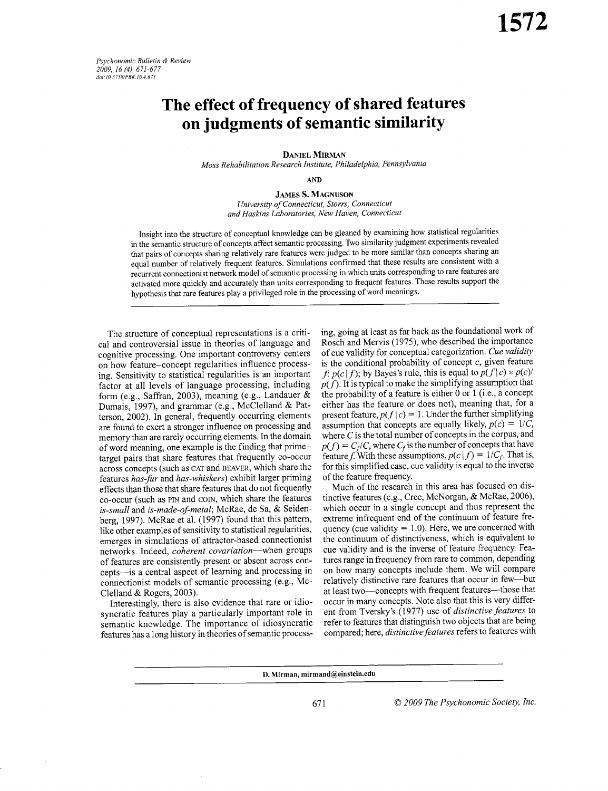Psychonomic Bulletin & Review 2009, 16 (4), 671-677 doi:10.3758/PBR.16.4.671

# The effect of frequency of shared features on judgments of semantic similarity

**DANIEL MIRMAN** Moss Rehabilitation Research Institute, Philadelphia, Pennsylvania

**AND** 

**JAMES S. MAGNUSON** University of Connecticut, Storrs, Connecticut and Haskins Laboratories, New Haven, Connecticut

Insight into the structure of conceptual knowledge can be gleaned by examining how statistical regularities in the semantic structure of concepts affect semantic processing. Two similarity judgment experiments revealed that pairs of concepts sharing relatively rare features were judged to be more similar than concepts sharing an equal number of relatively frequent features. Simulations confirmed that these results are consistent with a recurrent connectionist network model of semantic processing in which units corresponding to rare features are activated more quickly and accurately than units corresponding to frequent features. These results support the hypothesis that rare features play a privileged role in the processing of word meanings.

The structure of conceptual representations is a critical and controversial issue in theories of language and cognitive processing. One important controversy centers on how feature-concept regularities influence processing. Sensitivity to statistical regularities is an important factor at all levels of language processing, including form (e.g., Saffran, 2003), meaning (e.g., Landauer & Dumais, 1997), and grammar (e.g., McClelland & Patterson, 2002). In general, frequently occurring elements are found to exert a stronger influence on processing and memory than are rarely occurring elements. In the domain of word meaning, one example is the finding that primetarget pairs that share features that frequently co-occur across concepts (such as CAT and BEAVER, which share the features has-fur and has-whiskers) exhibit larger priming effects than those that share features that do not frequently co-occur (such as PIN and COIN, which share the features is-small and is-made-of-metal; McRae, de Sa, & Seidenberg, 1997). McRae et al. (1997) found that this pattern, like other examples of sensitivity to statistical regularities, emerges in simulations of attractor-based connectionist networks. Indeed, *coherent covariation*—when groups of features are consistently present or absent across concepts-is a central aspect of learning and processing in connectionist models of semantic processing (e.g., Mc-Clelland & Rogers, 2003).

Interestingly, there is also evidence that rare or idiosyncratic features play a particularly important role in semantic knowledge. The importance of idiosyncratic features has a long history in theories of semantic processing, going at least as far back as the foundational work of Rosch and Mervis (1975), who described the importance of cue validity for conceptual categorization. Cue validity is the conditional probability of concept  $c$ , given feature f:  $p(c|f)$ ; by Bayes's rule, this is equal to  $p(f|c) * p(c)$  $p(f)$ . It is typical to make the simplifying assumption that the probability of a feature is either 0 or 1 (i.e., a concept either has the feature or does not), meaning that, for a present feature,  $p(f|c) = 1$ . Under the further simplifying assumption that concepts are equally likely,  $p(c) = 1/C$ , where  $C$  is the total number of concepts in the corpus, and  $p(f) = C_f/C$ , where  $C_f$  is the number of concepts that have feature f. With these assumptions,  $p(c|f) = 1/C_f$ . That is, for this simplified case, cue validity is equal to the inverse of the feature frequency.

Much of the research in this area has focused on distinctive features (e.g., Cree, McNorgan, & McRae, 2006), which occur in a single concept and thus represent the extreme infrequent end of the continuum of feature frequency (cue validity  $= 1.0$ ). Here, we are concerned with the continuum of distinctiveness, which is equivalent to cue validity and is the inverse of feature frequency. Features range in frequency from rare to common, depending on how many concepts include them. We will compare relatively distinctive rare features that occur in few-but at least two--concepts with frequent features-those that occur in many concepts. Note also that this is very different from Tversky's (1977) use of *distinctive features* to refer to features that distinguish two objects that are being compared; here, distinctive features refers to features with

D. Mirman, mirmand@einstein.edu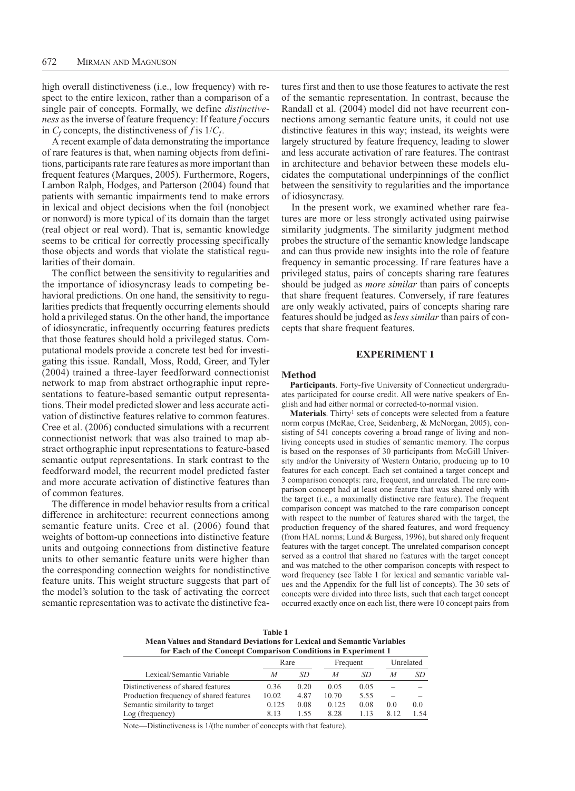high overall distinctiveness (i.e., low frequency) with respect to the entire lexicon, rather than a comparison of a single pair of concepts. Formally, we define *distinctiveness* as the inverse of feature frequency: If feature *f* occurs in  $C_f$  concepts, the distinctiveness of *f* is  $1/C_f$ .

A recent example of data demonstrating the importance of rare features is that, when naming objects from definitions, participants rate rare features as more important than frequent features (Marques, 2005). Furthermore, Rogers, Lambon Ralph, Hodges, and Patterson (2004) found that patients with semantic impairments tend to make errors in lexical and object decisions when the foil (nonobject or nonword) is more typical of its domain than the target (real object or real word). That is, semantic knowledge seems to be critical for correctly processing specifically those objects and words that violate the statistical regularities of their domain.

The conflict between the sensitivity to regularities and the importance of idiosyncrasy leads to competing behavioral predictions. On one hand, the sensitivity to regularities predicts that frequently occurring elements should hold a privileged status. On the other hand, the importance of idiosyncratic, infrequently occurring features predicts that those features should hold a privileged status. Computational models provide a concrete test bed for investigating this issue. Randall, Moss, Rodd, Greer, and Tyler (2004) trained a three-layer feedforward connectionist network to map from abstract orthographic input representations to feature-based semantic output representations. Their model predicted slower and less accurate activation of distinctive features relative to common features. Cree et al. (2006) conducted simulations with a recurrent connectionist network that was also trained to map abstract orthographic input representations to feature-based semantic output representations. In stark contrast to the feedforward model, the recurrent model predicted faster and more accurate activation of distinctive features than of common features.

The difference in model behavior results from a critical difference in architecture: recurrent connections among semantic feature units. Cree et al. (2006) found that weights of bottom-up connections into distinctive feature units and outgoing connections from distinctive feature units to other semantic feature units were higher than the corresponding connection weights for nondistinctive feature units. This weight structure suggests that part of the model's solution to the task of activating the correct semantic representation was to activate the distinctive features first and then to use those features to activate the rest of the semantic representation. In contrast, because the Randall et al. (2004) model did not have recurrent connections among semantic feature units, it could not use distinctive features in this way; instead, its weights were largely structured by feature frequency, leading to slower and less accurate activation of rare features. The contrast in architecture and behavior between these models elucidates the computational underpinnings of the conflict between the sensitivity to regularities and the importance of idiosyncrasy.

In the present work, we examined whether rare features are more or less strongly activated using pairwise similarity judgments. The similarity judgment method probes the structure of the semantic knowledge landscape and can thus provide new insights into the role of feature frequency in semantic processing. If rare features have a privileged status, pairs of concepts sharing rare features should be judged as *more similar* than pairs of concepts that share frequent features. Conversely, if rare features are only weakly activated, pairs of concepts sharing rare features should be judged as *less similar* than pairs of concepts that share frequent features.

#### **Experiment 1**

## **Method**

**Participants**. Forty-five University of Connecticut undergraduates participated for course credit. All were native speakers of English and had either normal or corrected-to-normal vision.

**Materials**. Thirty<sup>1</sup> sets of concepts were selected from a feature norm corpus (McRae, Cree, Seidenberg, & McNorgan, 2005), consisting of 541 concepts covering a broad range of living and nonliving concepts used in studies of semantic memory. The corpus is based on the responses of 30 participants from McGill University and/or the University of Western Ontario, producing up to 10 features for each concept. Each set contained a target concept and 3 comparison concepts: rare, frequent, and unrelated. The rare comparison concept had at least one feature that was shared only with the target (i.e., a maximally distinctive rare feature). The frequent comparison concept was matched to the rare comparison concept with respect to the number of features shared with the target, the production frequency of the shared features, and word frequency (from HAL norms; Lund & Burgess, 1996), but shared only frequent features with the target concept. The unrelated comparison concept served as a control that shared no features with the target concept and was matched to the other comparison concepts with respect to word frequency (see Table 1 for lexical and semantic variable values and the Appendix for the full list of concepts). The 30 sets of concepts were divided into three lists, such that each target concept occurred exactly once on each list, there were 10 concept pairs from

**Table 1 Mean Values and Standard Deviations for Lexical and Semantic Variables for Each of the Concept Comparison Conditions in Experiment 1**

|                                         | Rare  |      | Frequent |      | Unrelated |     |
|-----------------------------------------|-------|------|----------|------|-----------|-----|
| Lexical/Semantic Variable               | М     | SD   | M        | SD   | M         | SD  |
| Distinctiveness of shared features      | 0.36  | 0.20 | 0.05     | 0.05 |           |     |
| Production frequency of shared features | 10.02 | 4.87 | 10.70    | 5.55 |           |     |
| Semantic similarity to target           | 0.125 | 0.08 | 0.125    | 0.08 | 0.0       | 0.0 |
| Log (frequency)                         | 813   | 1.55 | 8.28     | 113  | 8.12      | 154 |

Note—Distinctiveness is 1/(the number of concepts with that feature).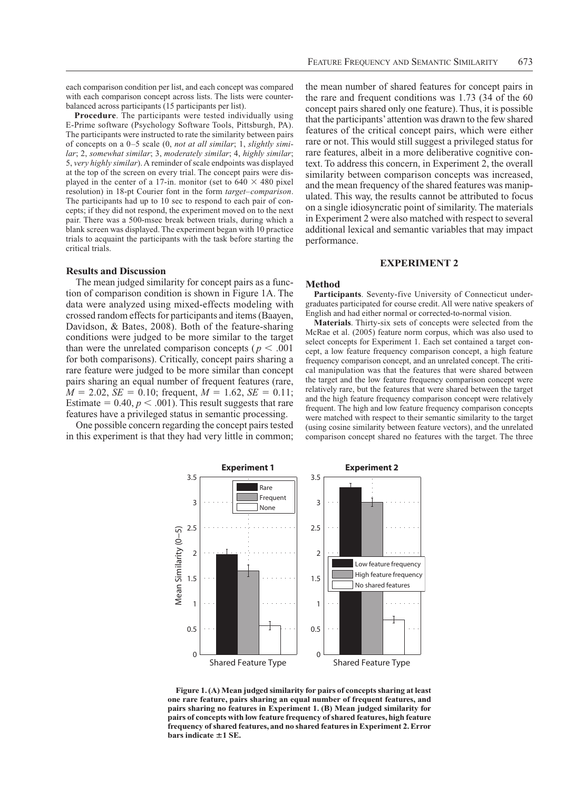each comparison condition per list, and each concept was compared with each comparison concept across lists. The lists were counterbalanced across participants (15 participants per list).

**Procedure**. The participants were tested individually using E-Prime software (Psychology Software Tools, Pittsburgh, PA). The participants were instructed to rate the similarity between pairs of concepts on a 0–5 scale (0, *not at all similar*; 1, *slightly similar*; 2, *somewhat similar*; 3, *moderately similar*; 4, *highly similar*; 5, *very highly similar*). A reminder of scale endpoints was displayed at the top of the screen on every trial. The concept pairs were displayed in the center of a 17-in. monitor (set to  $640 \times 480$  pixel resolution) in 18-pt Courier font in the form *target*–*comparison*. The participants had up to 10 sec to respond to each pair of concepts; if they did not respond, the experiment moved on to the next pair. There was a 500-msec break between trials, during which a blank screen was displayed. The experiment began with 10 practice trials to acquaint the participants with the task before starting the critical trials.

## **Results and Discussion**

The mean judged similarity for concept pairs as a function of comparison condition is shown in Figure 1A. The data were analyzed using mixed-effects modeling with crossed random effects for participants and items (Baayen, Davidson, & Bates, 2008). Both of the feature-sharing conditions were judged to be more similar to the target than were the unrelated comparison concepts ( $p < .001$ ) for both comparisons). Critically, concept pairs sharing a rare feature were judged to be more similar than concept pairs sharing an equal number of frequent features (rare,  $M = 2.02$ , *SE* = 0.10; frequent,  $M = 1.62$ , *SE* = 0.11; Estimate  $= 0.40, p \lt .001$ . This result suggests that rare features have a privileged status in semantic processing.

One possible concern regarding the concept pairs tested in this experiment is that they had very little in common;

the mean number of shared features for concept pairs in the rare and frequent conditions was 1.73 (34 of the 60 concept pairs shared only one feature). Thus, it is possible that the participants' attention was drawn to the few shared features of the critical concept pairs, which were either rare or not. This would still suggest a privileged status for rare features, albeit in a more deliberative cognitive context. To address this concern, in Experiment 2, the overall similarity between comparison concepts was increased, and the mean frequency of the shared features was manipulated. This way, the results cannot be attributed to focus on a single idiosyncratic point of similarity. The materials in Experiment 2 were also matched with respect to several additional lexical and semantic variables that may impact performance.

# **Experiment 2**

#### **Method**

**Participants**. Seventy-five University of Connecticut undergraduates participated for course credit. All were native speakers of English and had either normal or corrected-to-normal vision.

**Materials**. Thirty-six sets of concepts were selected from the McRae et al. (2005) feature norm corpus, which was also used to select concepts for Experiment 1. Each set contained a target concept, a low feature frequency comparison concept, a high feature frequency comparison concept, and an unrelated concept. The critical manipulation was that the features that were shared between the target and the low feature frequency comparison concept were relatively rare, but the features that were shared between the target and the high feature frequency comparison concept were relatively frequent. The high and low feature frequency comparison concepts were matched with respect to their semantic similarity to the target (using cosine similarity between feature vectors), and the unrelated comparison concept shared no features with the target. The three



**Figure 1. (A) Mean judged similarity for pairs of concepts sharing at least one rare feature, pairs sharing an equal number of frequent features, and pairs sharing no features in Experiment 1. (B) Mean judged similarity for pairs of concepts with low feature frequency of shared features, high feature frequency of shared features, and no shared features in Experiment 2. Error**   $bar{s}$  indicate  $\pm 1$  SE.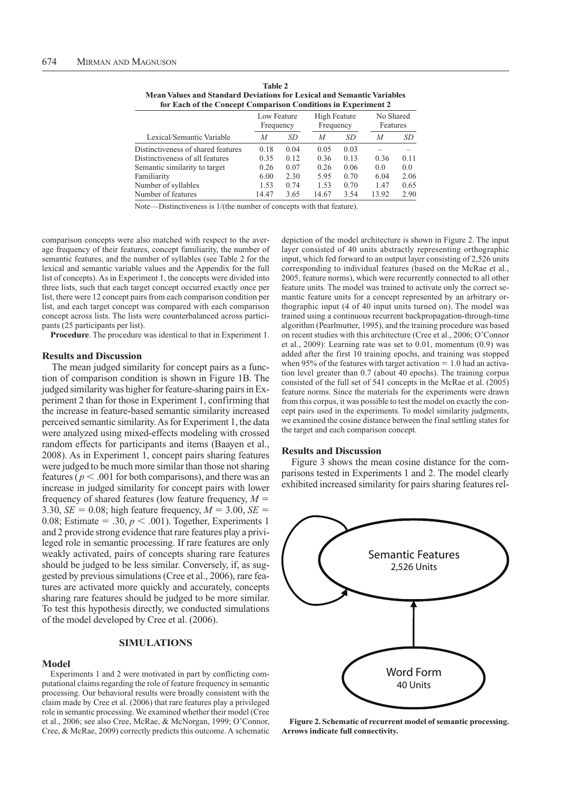| <b>Mean Values and Standard Deviations for Lexical and Semantic Variables</b><br>for Each of the Concept Comparison Conditions in Experiment 2 |       |                          |       |                           |       |                       |  |  |
|------------------------------------------------------------------------------------------------------------------------------------------------|-------|--------------------------|-------|---------------------------|-------|-----------------------|--|--|
|                                                                                                                                                |       | Low Feature<br>Frequency |       | High Feature<br>Frequency |       | No Shared<br>Features |  |  |
| Lexical/Semantic Variable                                                                                                                      | M     | SD                       | M     | SD                        | M     | SD                    |  |  |
| Distinctiveness of shared features                                                                                                             | 0.18  | 0.04                     | 0.05  | 0.03                      |       |                       |  |  |
| Distinctiveness of all features                                                                                                                | 0.35  | 0.12                     | 0.36  | 0.13                      | 0.36  | 0.11                  |  |  |
| Semantic similarity to target                                                                                                                  | 0.26  | 0.07                     | 0.26  | 0.06                      | 0.0   | 0.0                   |  |  |
| Familiarity                                                                                                                                    | 6.00  | 2.30                     | 5.95  | 0.70                      | 6.04  | 2.06                  |  |  |
| Number of syllables                                                                                                                            | 1.53  | 0.74                     | 1.53  | 0.70                      | 1.47  | 0.65                  |  |  |
| Number of features                                                                                                                             | 14.47 | 3.65                     | 14.67 | 3.54                      | 13.92 | 2.90                  |  |  |

**Table 2 Mean Values and Standard Deviations for Lexical and Semantic Variables** 

Note—Distinctiveness is 1/(the number of concepts with that feature).

comparison concepts were also matched with respect to the average frequency of their features, concept familiarity, the number of semantic features, and the number of syllables (see Table 2 for the lexical and semantic variable values and the Appendix for the full list of concepts). As in Experiment 1, the concepts were divided into three lists, such that each target concept occurred exactly once per list, there were 12 concept pairs from each comparison condition per list, and each target concept was compared with each comparison concept across lists. The lists were counterbalanced across participants (25 participants per list).

**Procedure**. The procedure was identical to that in Experiment 1.

## **Results and Discussion**

The mean judged similarity for concept pairs as a function of comparison condition is shown in Figure 1B. The judged similarity was higher for feature-sharing pairs in Experiment 2 than for those in Experiment 1, confirming that the increase in feature-based semantic similarity increased perceived semantic similarity. As for Experiment 1, the data were analyzed using mixed-effects modeling with crossed random effects for participants and items (Baayen et al., 2008). As in Experiment 1, concept pairs sharing features were judged to be much more similar than those not sharing features ( $p < .001$  for both comparisons), and there was an increase in judged similarity for concept pairs with lower frequency of shared features (low feature frequency,  $M =$ 3.30, *SE* = 0.08; high feature frequency,  $M = 3.00$ , *SE* = 0.08; Estimate = .30,  $p < .001$ ). Together, Experiments 1 and 2 provide strong evidence that rare features play a privileged role in semantic processing. If rare features are only weakly activated, pairs of concepts sharing rare features should be judged to be less similar. Conversely, if, as suggested by previous simulations (Cree et al., 2006), rare features are activated more quickly and accurately, concepts sharing rare features should be judged to be more similar. To test this hypothesis directly, we conducted simulations of the model developed by Cree et al. (2006).

## **Simulations**

### **Model**

Experiments 1 and 2 were motivated in part by conflicting computational claims regarding the role of feature frequency in semantic processing. Our behavioral results were broadly consistent with the claim made by Cree et al. (2006) that rare features play a privileged role in semantic processing. We examined whether their model (Cree et al., 2006; see also Cree, McRae, & McNorgan, 1999; O'Connor, Cree, & McRae, 2009) correctly predicts this outcome. A schematic depiction of the model architecture is shown in Figure 2. The input layer consisted of 40 units abstractly representing orthographic input, which fed forward to an output layer consisting of 2,526 units corresponding to individual features (based on the McRae et al., 2005, feature norms), which were recurrently connected to all other feature units. The model was trained to activate only the correct semantic feature units for a concept represented by an arbitrary orthographic input (4 of 40 input units turned on). The model was trained using a continuous recurrent backpropagation-through-time algorithm (Pearlmutter, 1995), and the training procedure was based on recent studies with this architecture (Cree et al., 2006; O'Connor et al., 2009): Learning rate was set to 0.01, momentum (0.9) was added after the first 10 training epochs, and training was stopped when 95% of the features with target activation  $= 1.0$  had an activation level greater than 0.7 (about 40 epochs). The training corpus consisted of the full set of 541 concepts in the McRae et al. (2005) feature norms. Since the materials for the experiments were drawn from this corpus, it was possible to test the model on exactly the concept pairs used in the experiments. To model similarity judgments, we examined the cosine distance between the final settling states for the target and each comparison concept.

#### **Results and Discussion**

Figure 3 shows the mean cosine distance for the comparisons tested in Experiments 1 and 2. The model clearly exhibited increased similarity for pairs sharing features rel-



**Figure 2. Schematic of recurrent model of semantic processing. Arrows indicate full connectivity.**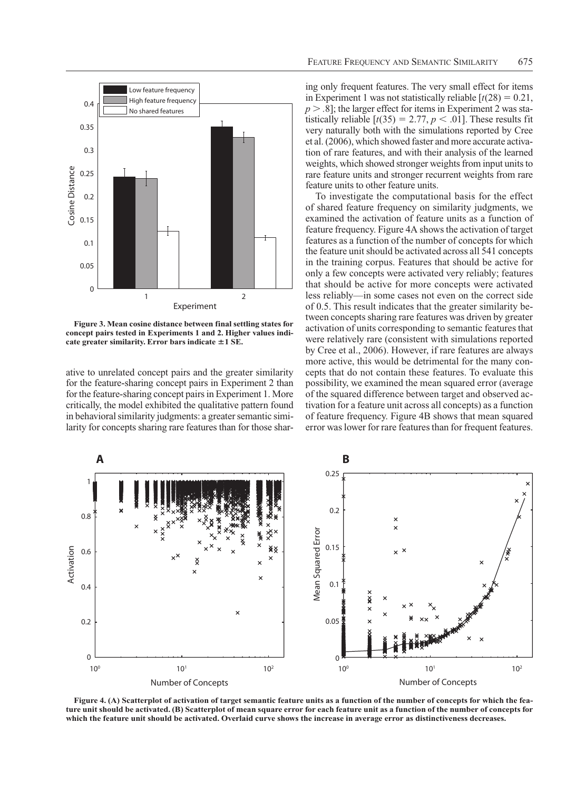

**Figure 3. Mean cosine distance between final settling states for concept pairs tested in Experiments 1 and 2. Higher values indicate greater similarity. Error bars indicate**  $\pm 1$  **SE.** 

ative to unrelated concept pairs and the greater similarity for the feature-sharing concept pairs in Experiment 2 than for the feature-sharing concept pairs in Experiment 1. More critically, the model exhibited the qualitative pattern found in behavioral similarity judgments: a greater semantic similarity for concepts sharing rare features than for those shar-

ing only frequent features. The very small effect for items in Experiment 1 was not statistically reliable  $\lceil t(28) = 0.21$ ,  $>$  $.8$ *]; the larger effect for items in Experiment 2 was sta*tistically reliable  $[t(35) = 2.77, p < .01]$ . These results fit very naturally both with the simulations reported by Cree et al. (2006), which showed faster and more accurate activation of rare features, and with their analysis of the learned weights, which showed stronger weights from input units to rare feature units and stronger recurrent weights from rare feature units to other feature units.

To investigate the computational basis for the effect of shared feature frequency on similarity judgments, we examined the activation of feature units as a function of feature frequency. Figure 4A shows the activation of target features as a function of the number of concepts for which the feature unit should be activated across all 541 concepts in the training corpus. Features that should be active for only a few concepts were activated very reliably; features that should be active for more concepts were activated less reliably—in some cases not even on the correct side of 0.5. This result indicates that the greater similarity between concepts sharing rare features was driven by greater activation of units corresponding to semantic features that were relatively rare (consistent with simulations reported by Cree et al., 2006). However, if rare features are always more active, this would be detrimental for the many concepts that do not contain these features. To evaluate this possibility, we examined the mean squared error (average of the squared difference between target and observed activation for a feature unit across all concepts) as a function of feature frequency. Figure 4B shows that mean squared error was lower for rare features than for frequent features.



**Figure 4. (A) Scatterplot of activation of target semantic feature units as a function of the number of concepts for which the feature unit should be activated. (B) Scatterplot of mean square error for each feature unit as a function of the number of concepts for which the feature unit should be activated. Overlaid curve shows the increase in average error as distinctiveness decreases.**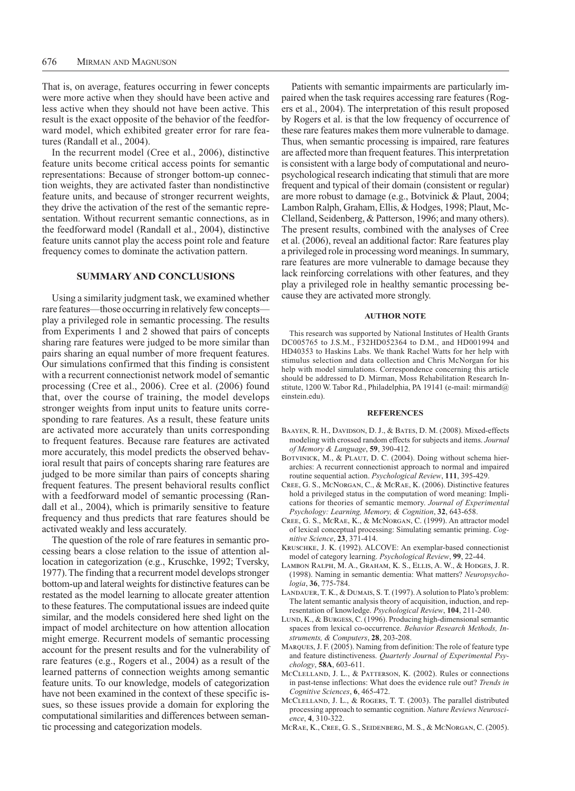That is, on average, features occurring in fewer concepts were more active when they should have been active and less active when they should not have been active. This result is the exact opposite of the behavior of the feedforward model, which exhibited greater error for rare features (Randall et al., 2004).

In the recurrent model (Cree et al., 2006), distinctive feature units become critical access points for semantic representations: Because of stronger bottom-up connection weights, they are activated faster than nondistinctive feature units, and because of stronger recurrent weights, they drive the activation of the rest of the semantic representation. Without recurrent semantic connections, as in the feedforward model (Randall et al., 2004), distinctive feature units cannot play the access point role and feature frequency comes to dominate the activation pattern.

# **Summary and Conclusions**

Using a similarity judgment task, we examined whether rare features—those occurring in relatively few concepts play a privileged role in semantic processing. The results from Experiments 1 and 2 showed that pairs of concepts sharing rare features were judged to be more similar than pairs sharing an equal number of more frequent features. Our simulations confirmed that this finding is consistent with a recurrent connectionist network model of semantic processing (Cree et al., 2006). Cree et al. (2006) found that, over the course of training, the model develops stronger weights from input units to feature units corresponding to rare features. As a result, these feature units are activated more accurately than units corresponding to frequent features. Because rare features are activated more accurately, this model predicts the observed behavioral result that pairs of concepts sharing rare features are judged to be more similar than pairs of concepts sharing frequent features. The present behavioral results conflict with a feedforward model of semantic processing (Randall et al., 2004), which is primarily sensitive to feature frequency and thus predicts that rare features should be activated weakly and less accurately.

The question of the role of rare features in semantic processing bears a close relation to the issue of attention allocation in categorization (e.g., Kruschke, 1992; Tversky, 1977). The finding that a recurrent model develops stronger bottom-up and lateral weights for distinctive features can be restated as the model learning to allocate greater attention to these features. The computational issues are indeed quite similar, and the models considered here shed light on the impact of model architecture on how attention allocation might emerge. Recurrent models of semantic processing account for the present results and for the vulnerability of rare features (e.g., Rogers et al., 2004) as a result of the learned patterns of connection weights among semantic feature units. To our knowledge, models of categorization have not been examined in the context of these specific issues, so these issues provide a domain for exploring the computational similarities and differences between semantic processing and categorization models.

Patients with semantic impairments are particularly impaired when the task requires accessing rare features (Rogers et al., 2004). The interpretation of this result proposed by Rogers et al. is that the low frequency of occurrence of these rare features makes them more vulnerable to damage. Thus, when semantic processing is impaired, rare features are affected more than frequent features. This interpretation is consistent with a large body of computational and neuropsychological research indicating that stimuli that are more frequent and typical of their domain (consistent or regular) are more robust to damage (e.g., Botvinick & Plaut, 2004; Lambon Ralph, Graham, Ellis, & Hodges, 1998; Plaut, Mc-Clelland, Seidenberg, & Patterson, 1996; and many others). The present results, combined with the analyses of Cree et al. (2006), reveal an additional factor: Rare features play a privileged role in processing word meanings. In summary, rare features are more vulnerable to damage because they lack reinforcing correlations with other features, and they play a privileged role in healthy semantic processing because they are activated more strongly.

#### **Author Note**

This research was supported by National Institutes of Health Grants DC005765 to J.S.M., F32HD052364 to D.M., and HD001994 and HD40353 to Haskins Labs. We thank Rachel Watts for her help with stimulus selection and data collection and Chris McNorgan for his help with model simulations. Correspondence concerning this article should be addressed to D. Mirman, Moss Rehabilitation Research Institute, 1200 W. Tabor Rd., Philadelphia, PA 19141 (e-mail: mirmand@ einstein.edu).

#### **References**

- BAAYEN, R. H., DAVIDSON, D. J., & BATES, D. M. (2008). Mixed-effects modeling with crossed random effects for subjects and items. *Journal of Memory & Language*, **59**, 390-412.
- BOTVINICK, M., & PLAUT, D. C. (2004). Doing without schema hierarchies: A recurrent connectionist approach to normal and impaired routine sequential action. *Psychological Review*, **111**, 395-429.
- Cree, G. S., McNorgan, C., & McRae, K. (2006). Distinctive features hold a privileged status in the computation of word meaning: Implications for theories of semantic memory. *Journal of Experimental Psychology: Learning, Memory, & Cognition*, **32**, 643-658.
- Cree, G. S., McRae, K., & McNorgan, C. (1999). An attractor model of lexical conceptual processing: Simulating semantic priming. *Cognitive Science*, **23**, 371-414.
- Kruschke, J. K. (1992). ALCOVE: An exemplar-based connectionist model of category learning. *Psychological Review*, **99**, 22-44.
- Lambon Ralph, M. A., Graham, K. S., Ellis, A. W., & Hodges, J. R. (1998). Naming in semantic dementia: What matters? *Neuropsychologia*, **36**, 775-784.
- LANDAUER, T. K., & DUMAIS, S. T. (1997). A solution to Plato's problem: The latent semantic analysis theory of acquisition, induction, and representation of knowledge. *Psychological Review*, **104**, 211-240.
- LUND, K., & BURGESS, C. (1996). Producing high-dimensional semantic spaces from lexical co-occurrence. *Behavior Research Methods, Instruments, & Computers*, **28**, 203-208.
- Marques, J. F. (2005). Naming from definition: The role of feature type and feature distinctiveness. *Quarterly Journal of Experimental Psychology*, **58A**, 603-611.
- McClelland, J. L., & Patterson, K. (2002). Rules or connections in past-tense inflections: What does the evidence rule out? *Trends in Cognitive Sciences*, **6**, 465-472.
- McClelland, J. L., & Rogers, T. T. (2003). The parallel distributed processing approach to semantic cognition. *Nature Reviews Neuroscience*, **4**, 310-322.
- McRae, K., Cree, G. S., Seidenberg, M. S., & McNorgan, C. (2005).